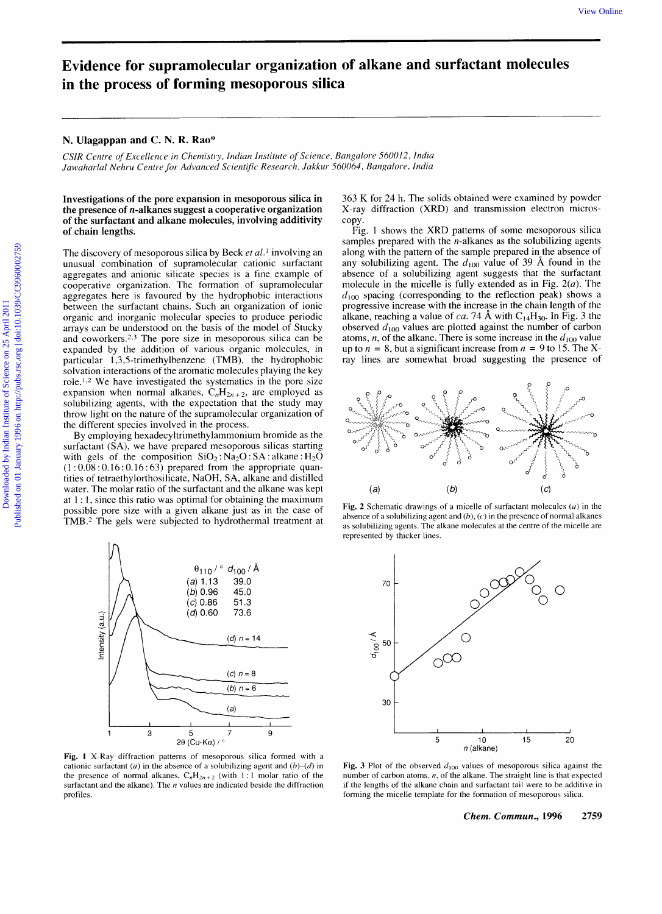## **Evidence for supramolecular organization of alkane and surfactant molecules in the process of forming mesoporous silica**

## **N. Ulagappan and C. N. R. Rao\***

*CSIR Centre of Excellence in Chemistry, Indian Institute of Science, Bangalore 56001 2, India*  Jawaharlal Nehru Centre for Advanced Scientific Research, Jakkur 560064, Bangalore, India

## **Investigations of the pore expansion in mesoporous silica in the presence of n-alkanes suggest a cooperative organization of the surfactant and alkane molecules, involving additivity of chain lengths.**

The discovery of mesoporous silica by Beck *et al.* involving an unusual combination of supramolecular cationic surfactant aggregates and anionic silicate species is a fine example of cooperative organization. The formation of supramolecular aggregates here is favoured by the hydrophobic interactions between the surfactant chains. Such an organization of ionic organic and inorganic molecular species to produce periodic arrays can be understood on the basis of the model of Stucky and coworkers.<sup>2,3</sup> The pore size in mesoporous silica can be expanded by the addition of various organic molecules, in particular 1,3,5-trimethyIbenzene (TMB), the hydrophobic solvation interactions of the aromatic molecules playing the key role.1.2 We have investigated the systematics in the pore size expansion when normal alkanes,  $C_nH_{2n+2}$ , are employed as solubilizing agents, with the expectation that the study may throw light on the nature of the supramolecular organization of the different species involved in the process. Exidence for superanological are organization of allkane and surfactant molecules<br>
in the process of forming mesoporous silica<br>
X. Unappose and C.N. R. R. C. H. R. P. R. R. P. R. R. R. R. P. R. R. R. R. P. R. R. R. R. R.

By employing hexadecyltrimethylammonium bromide as the surfactant **(SA),** we have prepared mesoporous silicas starting with gels of the composition  $SiO_2$ :  $Na_2O$ :  $SA$ : alkane:  $H_2O$  $(1:0.08:0.16:0.16:63)$  prepared from the appropriate quantities of tetraethylorthosilicate, NaOH, **SA,** alkane and distilled water. The molar ratio of the surfactant and the alkane was kept at 1 : 1, since this ratio was optimal for obtaining the maximum possible pore size with a given alkane just as in the case of TMB.2 The gels were subjected to hydrothermal treatment at



**Fig. 1** X-Ray diffraction patterns of mesoporous silica formed with a cationic surfactant *(a)* in the absence of a solubilizing agent and  $(b)-(d)$  in the presence of normal alkanes,  $C_nH_{2n+2}$  (with 1:1 molar ratio of the surfactant and the alkane). The *n* values are indicated beside the diffraction profiles.

363 K for 24 h. The solids obtained were examined by powder X-ray diffraction (XRD) and transmission electron microscopy.

Fig. 1 shows the XRD patterns of some mesoporous silica samples prepared with the  $n$ -alkanes as the solubilizing agents along with the pattern of the sample prepared in the absence of any solubilizing agent. The  $d_{100}$  value of 39 Å found in the absence of a solubilizing agent suggests that the surfactant molecule in the micelle is fully extended as in Fig. *2(a).* The  $d_{100}$  spacing (corresponding to the reflection peak) shows a progressive increase with the increase in the chain length of the alkane, reaching a value of *ca*. 74 Å with  $C_{14}H_{30}$ . In Fig. 3 the observed  $d_{100}$  values are plotted against the number of carbon atoms,  $n$ , of the alkane. There is some increase in the  $d_{100}$  value up to  $n = 8$ , but a significant increase from  $n = 9$  to 15. The Xray lines are somewhat broad suggesting the presence of



**Fig. 2** Schematic drawings of a micelle of surfactant molecules *(u)* in the absence of a solubilizing agent and *(b), (c)* in the presence of normal alkanes as solubilizing agents. The alkane molecules at the centre of the micelle are represented by thicker lines.



**Fig. 3** Plot of the observed  $d_{100}$  values of mesoporous silica against the number of carbon atoms. *n,* of the alkane. The straight line is that expected if the lengths of the alkane chain and surfactant tail were to be additive in forming the micelle template for the formation of mesoporous silica.

*Chem. Commun.,* **1996 2759**